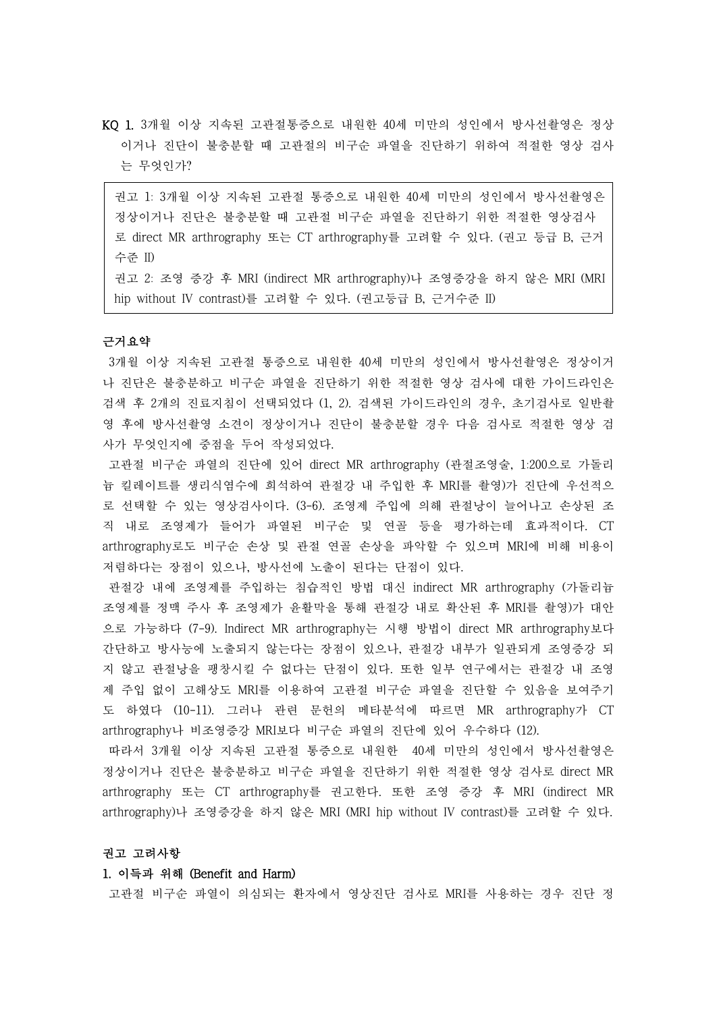KQ 1. 3개월 이상 지속된 고관절통증으로 내원한 40세 미만의 성인에서 방사선촬영은 정상 이거나 진단이 불충분할 때 고관절의 비구순 파열을 진단하기 위하여 적절한 영상 검사 는 무엇인가?

권고 1: 3개월 이상 지속된 고관절 통증으로 내원한 40세 미만의 성인에서 방사선촬영은 정상이거나 진단은 불충분할 때 고관절 비구순 파열을 진단하기 위한 적절한 영상검사 로 direct MR arthrography 또는 CT arthrography를 고려할 수 있다. (권고 등급 B, 근거 수준 II)

권고 2: 조영 증강 후 MRI (indirect MR arthrography)나 조영증강을 하지 않은 MRI (MRI hip without IV contrast)를 고려할 수 있다. (권고등급 B, 근거수준 II)

## 근거요약

3개월 이상 지속된 고관절 통증으로 내원한 40세 미만의 성인에서 방사선촬영은 정상이거 나 진단은 불충분하고 비구순 파열을 진단하기 위한 적절한 영상 검사에 대한 가이드라인은 검색 후 2개의 진료지침이 선택되었다 (1, 2). 검색된 가이드라인의 경우, 초기검사로 일반촬 영 후에 방사선촬영 소견이 정상이거나 진단이 불충분할 경우 다음 검사로 적절한 영상 검 사가 무엇인지에 중점을 두어 작성되었다.<br>-<br>고관절 비구순 파열의 진단에 있어 direct MR arthrography (관절조영술, 1:200으로 가돌리

늄 킬레이트를 생리식염수에 희석하여 관절강 내 주입한 후 MRI를 촬영)가 진단에 우선적으 로 선택할 수 있는 영상검사이다. (3-6). 조영제 주입에 의해 관절낭이 늘어나고 손상된 조 직 내로 조영제가 들어가 파열된 비구순 및 연골 등을 평가하는데 효과적이다. CT arthrography로도 비구순 손상 및 관절 연골 손상을 파악할 수 있으며 MRI에 비해 비용이 저렴하다는 장점이 있으나, 방사선에 노출이 된다는 단점이 있다.<br>관절강 내에 조영제를 주입하는 침습적인 방법 대신 indirect MR arthrography (가돌리늄

조영제를 정맥 주사 후 조영제가 윤활막을 통해 관절강 내로 확산된 후 MRI를 촬영)가 대안 으로 가능하다 (7-9). Indirect MR arthrography는 시행 방법이 direct MR arthrography보다 간단하고 방사능에 노출되지 않는다는 장점이 있으나, 관절강 내부가 일관되게 조영증강 되 지 않고 관절낭을 팽창시킬 수 없다는 단점이 있다. 또한 일부 연구에서는 관절강 내 조영 제 주입 없이 고해상도 MRI를 이용하여 고관절 비구순 파열을 진단할 수 있음을 보여주기 도 하였다 (10-11). 그러나 관련 문헌의 메타분석에 따르면 MR arthrography가 CT arthrography나 비조영증강 MRI보다 비구순 파열의 진단에 있어 우수하다 (12).

따라서 3개월 이상 지속된 고관절 통증으로 내원한 40세 미만의 성인에서 방사선촬영은 정상이거나 진단은 불충분하고 비구순 파열을 진단하기 위한 적절한 영상 검사로 direct MR arthrography 또는 CT arthrography를 권고한다. 또한 조영 증강 후 MRI (indirect MR arthrography)나 조영증강을 하지 않은 MRI (MRI hip without IV contrast)를 고려할 수 있다.<br>**권고 고려사항** 

#### 1. 이득과 위해 (Benefit and Harm)

고관절 비구순 파열이 의심되는 환자에서 영상진단 검사로 MRI를 사용하는 경우 진단 정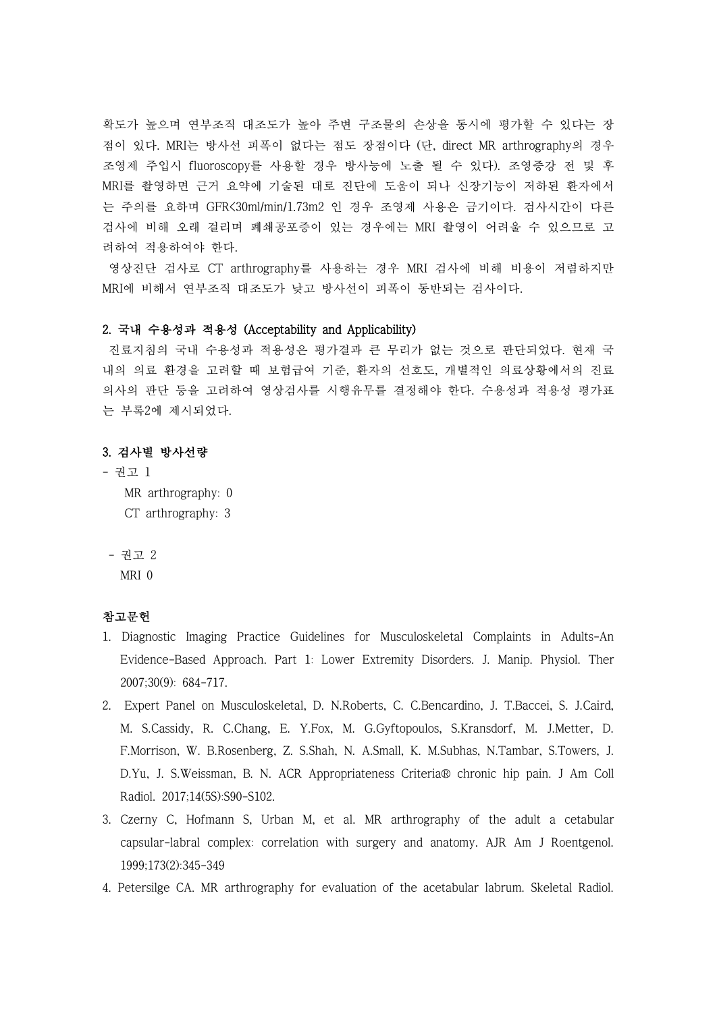확도가 높으며 연부조직 대조도가 높아 주변 구조물의 손상을 동시에 평가할 수 있다는 장 점이 있다. MRI는 방사선 피폭이 없다는 점도 장점이다 (단, direct MR arthrography의 경우 조영제 주입시 fluoroscopy를 사용할 경우 방사능에 노출 될 수 있다). 조영증강 전 및 후 MRI를 촬영하면 근거 요약에 기술된 대로 진단에 도움이 되나 신장기능이 저하된 환자에서 는 주의를 요하며 GFR<30ml/min/1.73m2 인 경우 조영제 사용은 금기이다. 검사시간이 다른 검사에 비해 오래 걸리며 폐쇄공포증이 있는 경우에는 MRI 촬영이 어려울 수 있으므로 고 려하여 적용하여야 한다.<br>-<br>영상진단 검사로 CT arthrography를 사용하는 경우 MRI 검사에 비해 비용이 저렴하지만

MRI에 비해서 연부조직 대조도가 낮고 방사선이 피폭이 동반되는 검사이다.

## 2. 국내 수용성과 적용성 (Acceptability and Applicability)

진료지침의 국내 수용성과 적용성은 평가결과 큰 무리가 없는 것으로 판단되었다. 현재 국 내의 의료 환경을 고려할 때 보험급여 기준, 환자의 선호도, 개별적인 의료상황에서의 진료 의사의 판단 등을 고려하여 영상검사를 시행유무를 결정해야 한다. 수용성과 적용성 평가표 는 부록2에 제시되었다.

## 3. 검사별 방사선량

- 권고 1 MR arthrography: 0 CT arthrography: 3
- 권고 2 MRI 0

# 참고문헌

- 1. Diagnostic Imaging Practice Guidelines for Musculoskeletal Complaints in Adults-An Evidence-Based Approach. Part 1: Lower Extremity Disorders. J. Manip. Physiol. Ther 2007;30(9): 684-717.
- 2. Expert Panel on Musculoskeletal, D. N.Roberts, C. C.Bencardino, J. T.Baccei, S. J.Caird, M. S.Cassidy, R. C.Chang, E. Y.Fox, M. G.Gyftopoulos, S.Kransdorf, M. J.Metter, D. F.Morrison, W. B.Rosenberg, Z. S.Shah, N. A.Small, K. M.Subhas, N.Tambar, S.Towers, J. D.Yu, J. S.Weissman, B. N. ACR Appropriateness Criteria® chronic hip pain. J Am Coll Radiol. 2017;14(5S):S90-S102.
- 3. Czerny C, Hofmann S, Urban M, et al. MR arthrography of the adult a cetabular capsular-labral complex: correlation with surgery and anatomy. AJR Am J Roentgenol. 1999;173(2):345-349
- 4. Petersilge CA. MR arthrography for evaluation of the acetabular labrum. Skeletal Radiol.